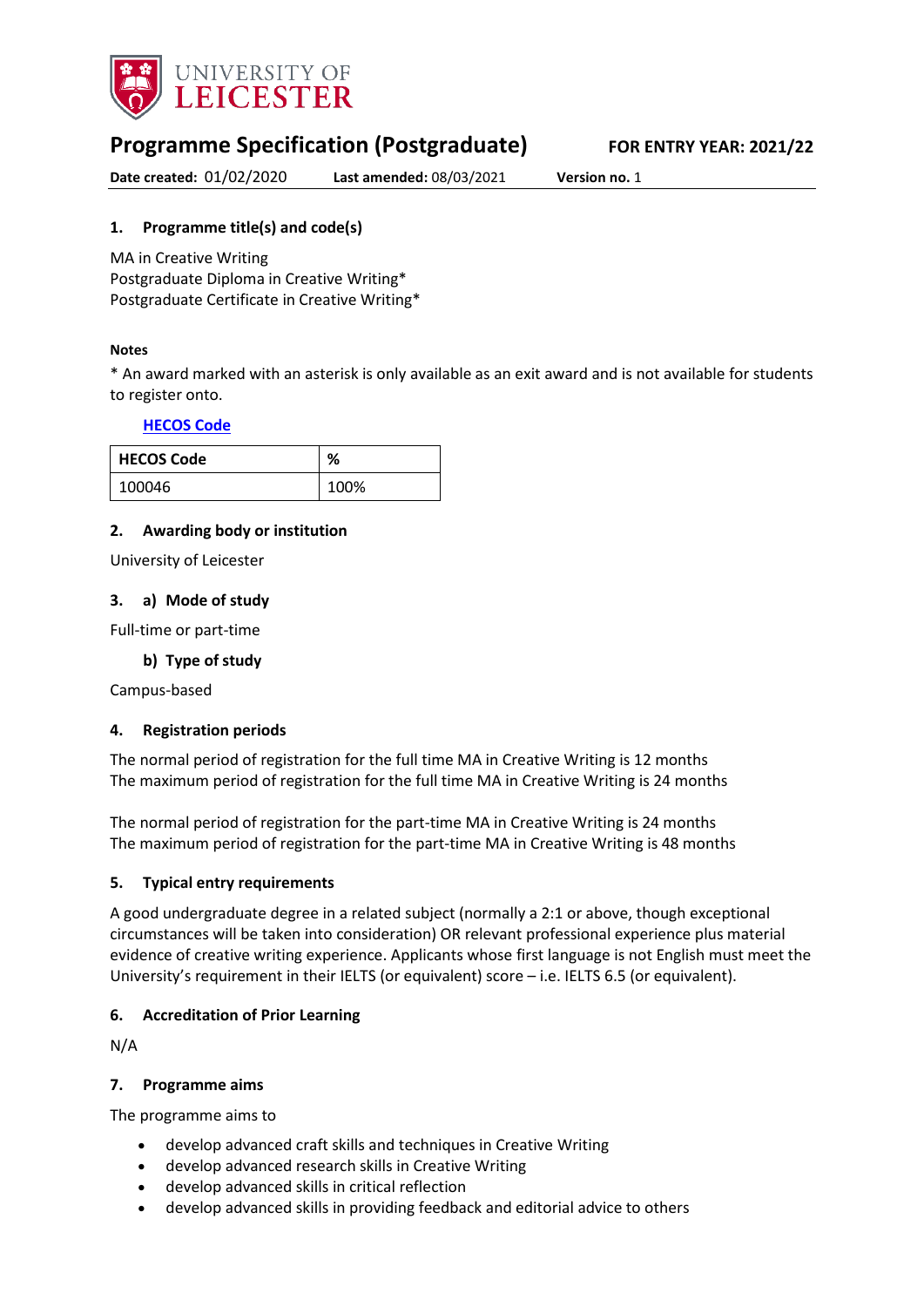

# **Programme Specification (Postgraduate) FOR ENTRY YEAR: 2021/22**

**Date created:** 01/02/2020 **Last amended:** 08/03/2021 **Version no.** 1

### <span id="page-0-0"></span>**1. Programme title(s) and code(s)**

MA in Creative Writing Postgraduate Diploma in Creative Writing\* Postgraduate Certificate in Creative Writing\*

### **Notes**

\* An award marked with an asterisk is only available as an exit award and is not available for students to register onto.

### **[HECOS Code](https://www.hesa.ac.uk/innovation/hecos)**

| <b>HECOS Code</b> | ℅    |
|-------------------|------|
| 100046            | 100% |

### **2. Awarding body or institution**

University of Leicester

### **3. a) Mode of study**

Full-time or part-time

### **b) Type of study**

Campus-based

### **4. Registration periods**

The normal period of registration for the full time MA in Creative Writing is 12 months The maximum period of registration for the full time MA in Creative Writing is 24 months

The normal period of registration for the part-time MA in Creative Writing is 24 months The maximum period of registration for the part-time MA in Creative Writing is 48 months

#### **5. Typical entry requirements**

A good undergraduate degree in a related subject (normally a 2:1 or above, though exceptional circumstances will be taken into consideration) OR relevant professional experience plus material evidence of creative writing experience. Applicants whose first language is not English must meet the University's requirement in their IELTS (or equivalent) score – i.e. IELTS 6.5 (or equivalent).

### **6. Accreditation of Prior Learning**

N/A

#### **7. Programme aims**

The programme aims to

- develop advanced craft skills and techniques in Creative Writing
- develop advanced research skills in Creative Writing
- develop advanced skills in critical reflection
- develop advanced skills in providing feedback and editorial advice to others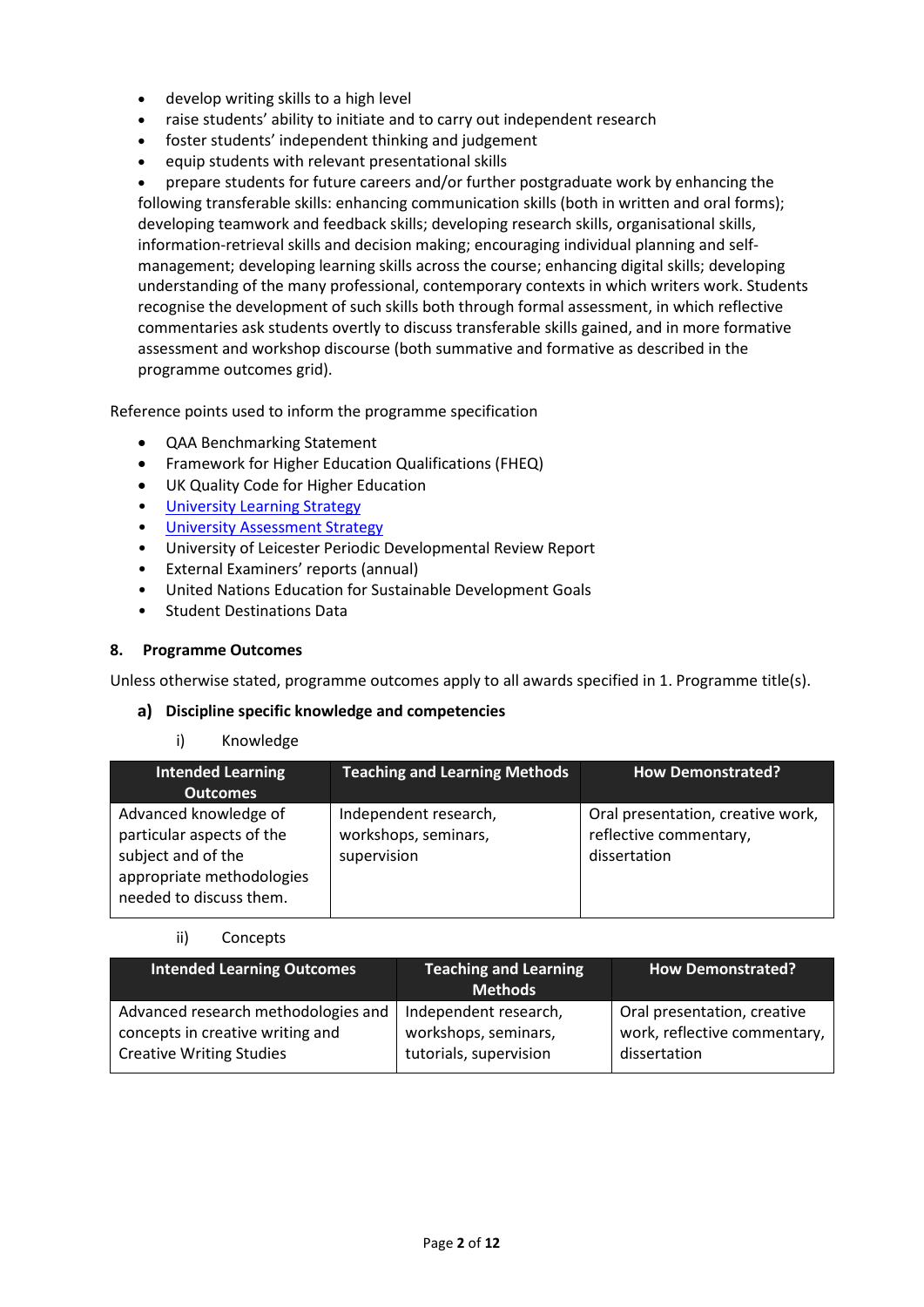- develop writing skills to a high level
- raise students' ability to initiate and to carry out independent research
- foster students' independent thinking and judgement
- equip students with relevant presentational skills

• prepare students for future careers and/or further postgraduate work by enhancing the following transferable skills: enhancing communication skills (both in written and oral forms); developing teamwork and feedback skills; developing research skills, organisational skills, information-retrieval skills and decision making; encouraging individual planning and selfmanagement; developing learning skills across the course; enhancing digital skills; developing understanding of the many professional, contemporary contexts in which writers work. Students recognise the development of such skills both through formal assessment, in which reflective commentaries ask students overtly to discuss transferable skills gained, and in more formative assessment and workshop discourse (both summative and formative as described in the programme outcomes grid).

Reference points used to inform the programme specification

- QAA Benchmarking Statement
- Framework for Higher Education Qualifications (FHEQ)
- UK Quality Code for Higher Education
- [University Learning](https://www2.le.ac.uk/offices/sas2/quality/learnteach) Strategy
- **[University Assessment Strategy](https://www2.le.ac.uk/offices/sas2/quality/learnteach)**
- University of Leicester Periodic Developmental Review Report
- External Examiners' reports (annual)
- United Nations Education for Sustainable Development Goals
- Student Destinations Data

#### **8. Programme Outcomes**

Unless otherwise stated, programme outcomes apply to all awards specified in [1.](#page-0-0) Programme title(s).

#### **Discipline specific knowledge and competencies**

#### i) Knowledge

| <b>Intended Learning</b><br><b>Outcomes</b>                                                                                      | <b>Teaching and Learning Methods</b>                         | <b>How Demonstrated?</b>                                                    |
|----------------------------------------------------------------------------------------------------------------------------------|--------------------------------------------------------------|-----------------------------------------------------------------------------|
| Advanced knowledge of<br>particular aspects of the<br>subject and of the<br>appropriate methodologies<br>needed to discuss them. | Independent research,<br>workshops, seminars,<br>supervision | Oral presentation, creative work,<br>reflective commentary,<br>dissertation |

#### ii) Concepts

| <b>Intended Learning Outcomes</b>   | Teaching and Learning<br><b>Methods</b> | <b>How Demonstrated?</b>     |
|-------------------------------------|-----------------------------------------|------------------------------|
| Advanced research methodologies and | Independent research,                   | Oral presentation, creative  |
| concepts in creative writing and    | workshops, seminars,                    | work, reflective commentary, |
| <b>Creative Writing Studies</b>     | tutorials, supervision                  | dissertation                 |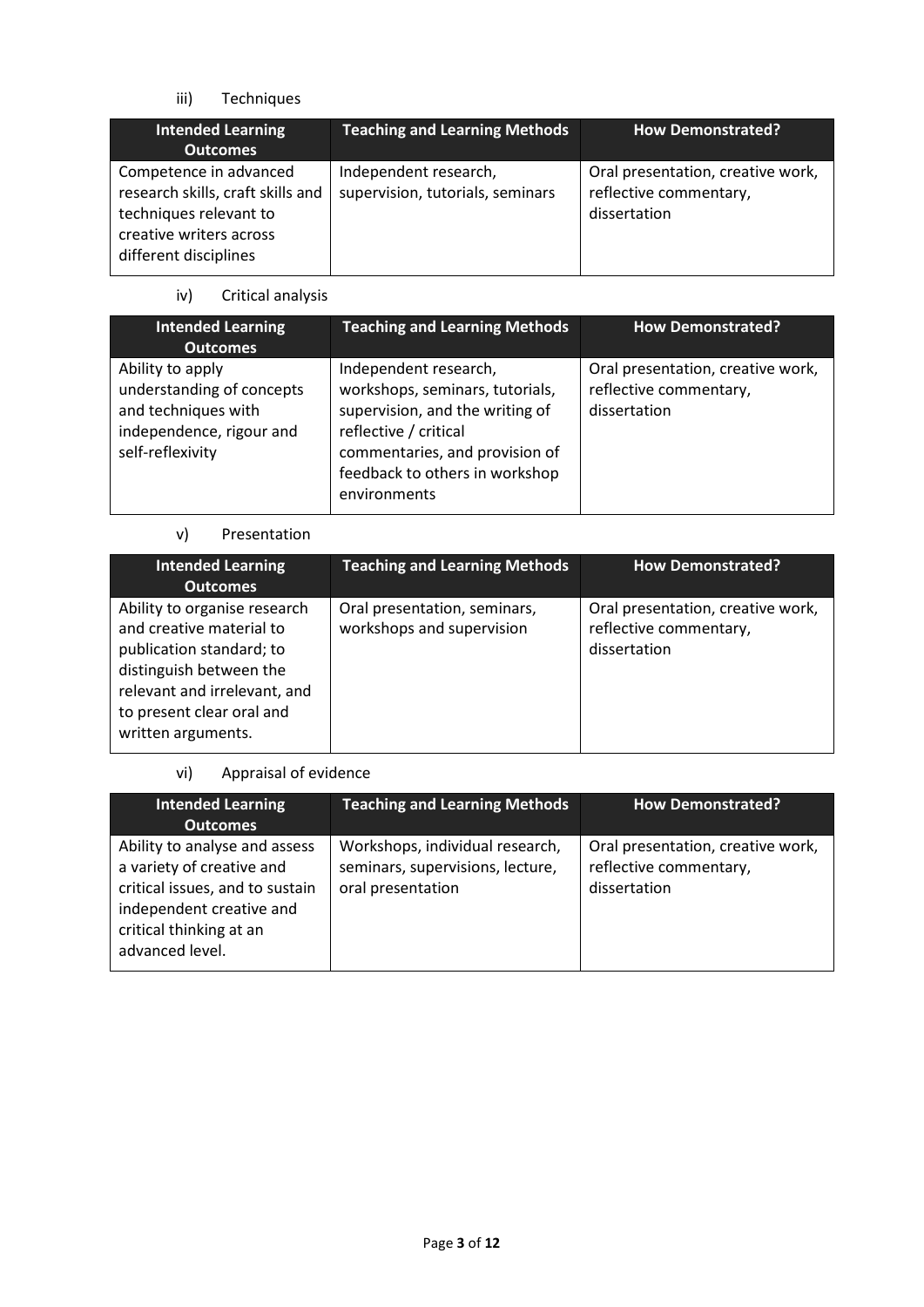iii) Techniques

| <b>Intended Learning</b><br><b>Outcomes</b>                                                                                               | <b>Teaching and Learning Methods</b>                      | <b>How Demonstrated?</b>                                                    |
|-------------------------------------------------------------------------------------------------------------------------------------------|-----------------------------------------------------------|-----------------------------------------------------------------------------|
| Competence in advanced<br>research skills, craft skills and<br>techniques relevant to<br>creative writers across<br>different disciplines | Independent research,<br>supervision, tutorials, seminars | Oral presentation, creative work,<br>reflective commentary,<br>dissertation |

iv) Critical analysis

| <b>Intended Learning</b><br><b>Outcomes</b>                                                                          | <b>Teaching and Learning Methods</b>                                                                                                                                                                     | <b>How Demonstrated?</b>                                                    |
|----------------------------------------------------------------------------------------------------------------------|----------------------------------------------------------------------------------------------------------------------------------------------------------------------------------------------------------|-----------------------------------------------------------------------------|
| Ability to apply<br>understanding of concepts<br>and techniques with<br>independence, rigour and<br>self-reflexivity | Independent research,<br>workshops, seminars, tutorials,<br>supervision, and the writing of<br>reflective / critical<br>commentaries, and provision of<br>feedback to others in workshop<br>environments | Oral presentation, creative work,<br>reflective commentary,<br>dissertation |

### v) Presentation

| <b>Intended Learning</b><br><b>Outcomes</b>                                                                                                                                                        | <b>Teaching and Learning Methods</b>                      | <b>How Demonstrated?</b>                                                    |
|----------------------------------------------------------------------------------------------------------------------------------------------------------------------------------------------------|-----------------------------------------------------------|-----------------------------------------------------------------------------|
| Ability to organise research<br>and creative material to<br>publication standard; to<br>distinguish between the<br>relevant and irrelevant, and<br>to present clear oral and<br>written arguments. | Oral presentation, seminars,<br>workshops and supervision | Oral presentation, creative work,<br>reflective commentary,<br>dissertation |

# vi) Appraisal of evidence

| <b>Intended Learning</b><br><b>Outcomes</b>                                                                                                                             | <b>Teaching and Learning Methods</b>                                                     | <b>How Demonstrated?</b>                                                    |
|-------------------------------------------------------------------------------------------------------------------------------------------------------------------------|------------------------------------------------------------------------------------------|-----------------------------------------------------------------------------|
| Ability to analyse and assess<br>a variety of creative and<br>critical issues, and to sustain<br>independent creative and<br>critical thinking at an<br>advanced level. | Workshops, individual research,<br>seminars, supervisions, lecture,<br>oral presentation | Oral presentation, creative work,<br>reflective commentary,<br>dissertation |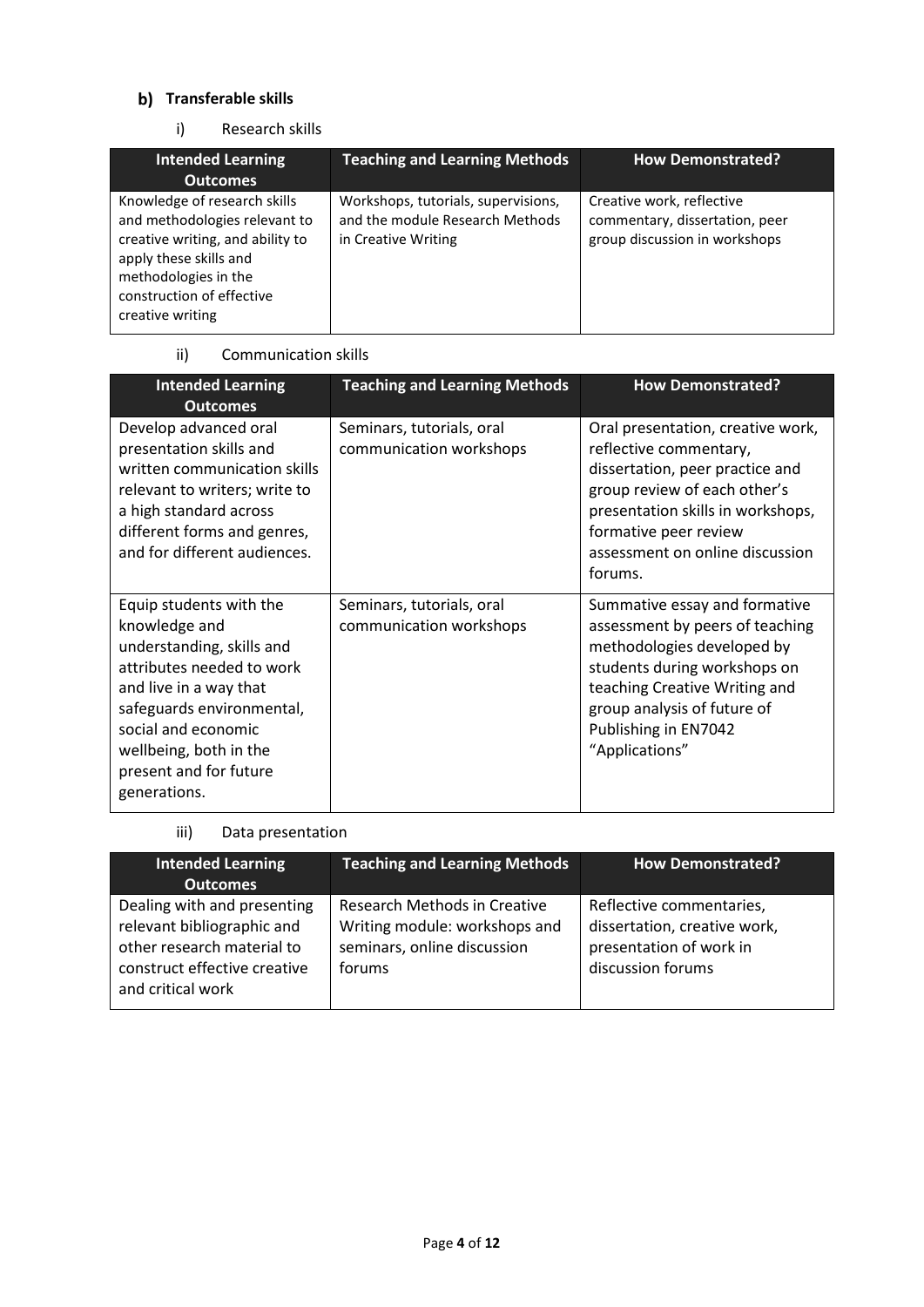# **b)** Transferable skills

### i) Research skills

| <b>Intended Learning</b>                                                                                                                                                                             | <b>Teaching and Learning Methods</b>                                                          | <b>How Demonstrated?</b>                                                                     |
|------------------------------------------------------------------------------------------------------------------------------------------------------------------------------------------------------|-----------------------------------------------------------------------------------------------|----------------------------------------------------------------------------------------------|
| <b>Outcomes</b>                                                                                                                                                                                      |                                                                                               |                                                                                              |
| Knowledge of research skills<br>and methodologies relevant to<br>creative writing, and ability to<br>apply these skills and<br>methodologies in the<br>construction of effective<br>creative writing | Workshops, tutorials, supervisions,<br>and the module Research Methods<br>in Creative Writing | Creative work, reflective<br>commentary, dissertation, peer<br>group discussion in workshops |

### ii) Communication skills

| <b>Intended Learning</b><br><b>Outcomes</b>                                                                                                                                                                                                          | <b>Teaching and Learning Methods</b>                 | <b>How Demonstrated?</b>                                                                                                                                                                                                                   |
|------------------------------------------------------------------------------------------------------------------------------------------------------------------------------------------------------------------------------------------------------|------------------------------------------------------|--------------------------------------------------------------------------------------------------------------------------------------------------------------------------------------------------------------------------------------------|
| Develop advanced oral<br>presentation skills and<br>written communication skills<br>relevant to writers; write to<br>a high standard across<br>different forms and genres,<br>and for different audiences.                                           | Seminars, tutorials, oral<br>communication workshops | Oral presentation, creative work,<br>reflective commentary,<br>dissertation, peer practice and<br>group review of each other's<br>presentation skills in workshops,<br>formative peer review<br>assessment on online discussion<br>forums. |
| Equip students with the<br>knowledge and<br>understanding, skills and<br>attributes needed to work<br>and live in a way that<br>safeguards environmental,<br>social and economic<br>wellbeing, both in the<br>present and for future<br>generations. | Seminars, tutorials, oral<br>communication workshops | Summative essay and formative<br>assessment by peers of teaching<br>methodologies developed by<br>students during workshops on<br>teaching Creative Writing and<br>group analysis of future of<br>Publishing in EN7042<br>"Applications"   |

### iii) Data presentation

| <b>Intended Learning</b><br><b>Outcomes</b>                                                                                                  | <b>Teaching and Learning Methods</b>                                                                   | <b>How Demonstrated?</b>                                                                                 |
|----------------------------------------------------------------------------------------------------------------------------------------------|--------------------------------------------------------------------------------------------------------|----------------------------------------------------------------------------------------------------------|
| Dealing with and presenting<br>relevant bibliographic and<br>other research material to<br>construct effective creative<br>and critical work | Research Methods in Creative<br>Writing module: workshops and<br>seminars, online discussion<br>forums | Reflective commentaries,<br>dissertation, creative work,<br>presentation of work in<br>discussion forums |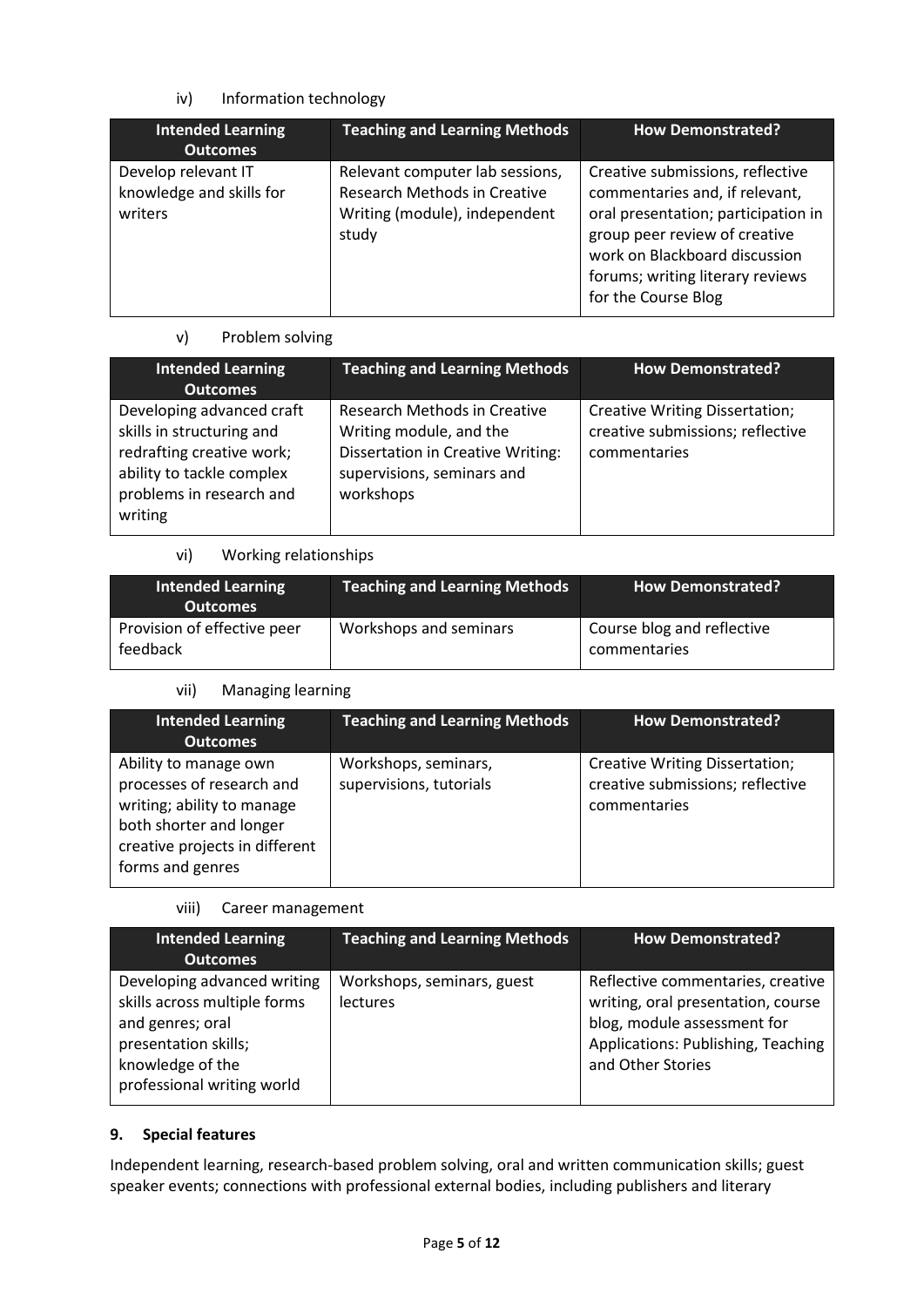### iv) Information technology

| <b>Intended Learning</b><br><b>Outcomes</b>                | <b>Teaching and Learning Methods</b>                                                                      | <b>How Demonstrated?</b>                                                                                                                                                                                                               |
|------------------------------------------------------------|-----------------------------------------------------------------------------------------------------------|----------------------------------------------------------------------------------------------------------------------------------------------------------------------------------------------------------------------------------------|
| Develop relevant IT<br>knowledge and skills for<br>writers | Relevant computer lab sessions,<br>Research Methods in Creative<br>Writing (module), independent<br>study | Creative submissions, reflective<br>commentaries and, if relevant,<br>oral presentation; participation in<br>group peer review of creative<br>work on Blackboard discussion<br>forums; writing literary reviews<br>for the Course Blog |

### v) Problem solving

| <b>Intended Learning</b><br><b>Outcomes</b>                                                                                                             | <b>Teaching and Learning Methods</b>                                                                                                           | <b>How Demonstrated?</b>                                                                  |
|---------------------------------------------------------------------------------------------------------------------------------------------------------|------------------------------------------------------------------------------------------------------------------------------------------------|-------------------------------------------------------------------------------------------|
| Developing advanced craft<br>skills in structuring and<br>redrafting creative work;<br>ability to tackle complex<br>problems in research and<br>writing | Research Methods in Creative<br>Writing module, and the<br><b>Dissertation in Creative Writing:</b><br>supervisions, seminars and<br>workshops | <b>Creative Writing Dissertation;</b><br>creative submissions; reflective<br>commentaries |

### vi) Working relationships

| <b>Intended Learning</b><br><b>Outcomes</b> | <b>Teaching and Learning Methods</b> | <b>How Demonstrated?</b>                   |
|---------------------------------------------|--------------------------------------|--------------------------------------------|
| Provision of effective peer<br>feedback     | Workshops and seminars               | Course blog and reflective<br>commentaries |

### vii) Managing learning

| <b>Intended Learning</b><br><b>Outcomes</b>                                                                                                                       | <b>Teaching and Learning Methods</b>            | <b>How Demonstrated?</b>                                                           |
|-------------------------------------------------------------------------------------------------------------------------------------------------------------------|-------------------------------------------------|------------------------------------------------------------------------------------|
| Ability to manage own<br>processes of research and<br>writing; ability to manage<br>both shorter and longer<br>creative projects in different<br>forms and genres | Workshops, seminars,<br>supervisions, tutorials | Creative Writing Dissertation;<br>creative submissions; reflective<br>commentaries |

#### viii) Career management

| <b>Intended Learning</b><br><b>Outcomes</b>                                                                                                               | <b>Teaching and Learning Methods</b>   | <b>How Demonstrated?</b>                                                                                                                                          |
|-----------------------------------------------------------------------------------------------------------------------------------------------------------|----------------------------------------|-------------------------------------------------------------------------------------------------------------------------------------------------------------------|
| Developing advanced writing<br>skills across multiple forms<br>and genres; oral<br>presentation skills;<br>knowledge of the<br>professional writing world | Workshops, seminars, guest<br>lectures | Reflective commentaries, creative<br>writing, oral presentation, course<br>blog, module assessment for<br>Applications: Publishing, Teaching<br>and Other Stories |

### **9. Special features**

Independent learning, research-based problem solving, oral and written communication skills; guest speaker events; connections with professional external bodies, including publishers and literary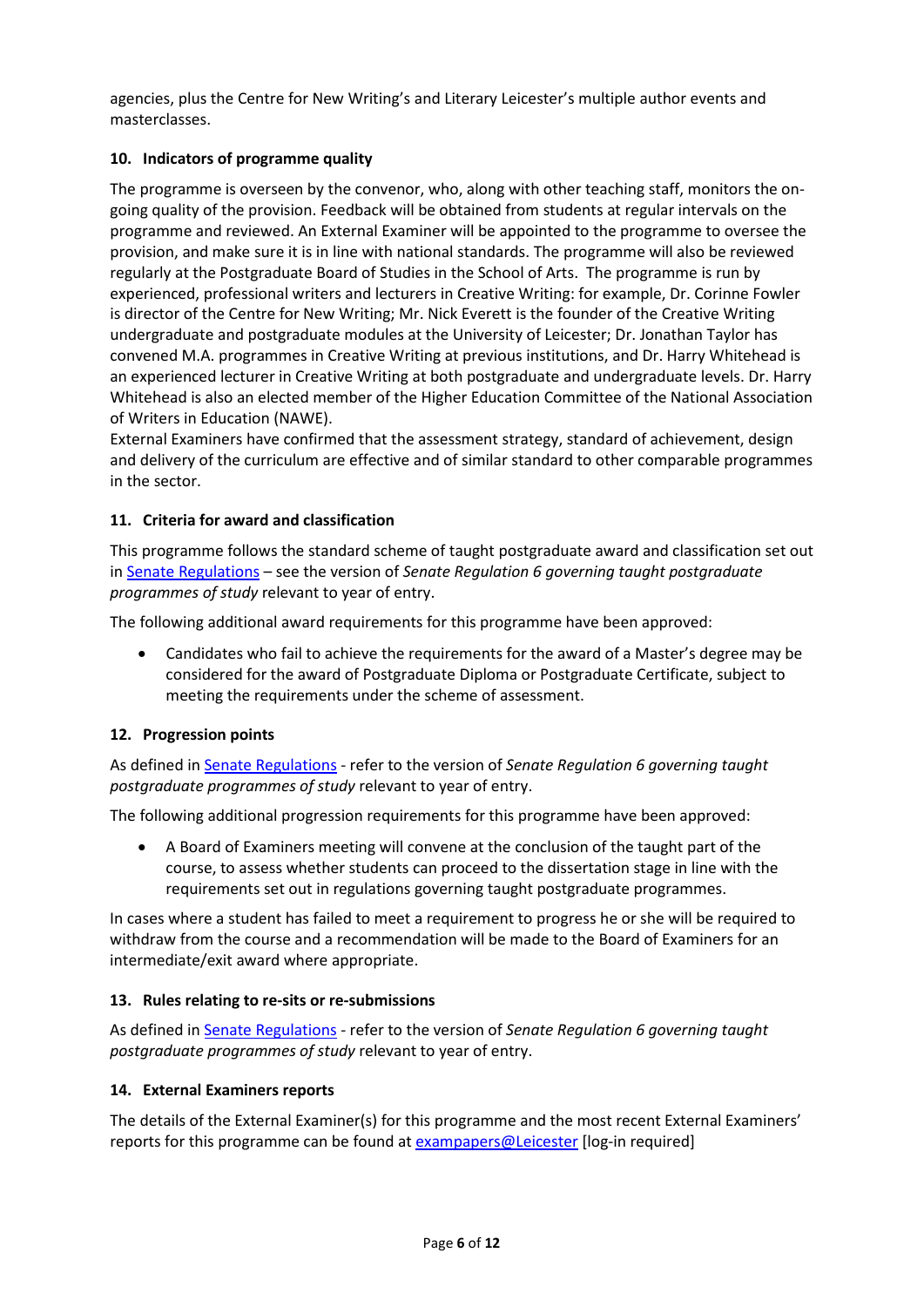agencies, plus the Centre for New Writing's and Literary Leicester's multiple author events and masterclasses.

### **10. Indicators of programme quality**

The programme is overseen by the convenor, who, along with other teaching staff, monitors the ongoing quality of the provision. Feedback will be obtained from students at regular intervals on the programme and reviewed. An External Examiner will be appointed to the programme to oversee the provision, and make sure it is in line with national standards. The programme will also be reviewed regularly at the Postgraduate Board of Studies in the School of Arts. The programme is run by experienced, professional writers and lecturers in Creative Writing: for example, Dr. Corinne Fowler is director of the Centre for New Writing; Mr. Nick Everett is the founder of the Creative Writing undergraduate and postgraduate modules at the University of Leicester; Dr. Jonathan Taylor has convened M.A. programmes in Creative Writing at previous institutions, and Dr. Harry Whitehead is an experienced lecturer in Creative Writing at both postgraduate and undergraduate levels. Dr. Harry Whitehead is also an elected member of the Higher Education Committee of the National Association of Writers in Education (NAWE).

External Examiners have confirmed that the assessment strategy, standard of achievement, design and delivery of the curriculum are effective and of similar standard to other comparable programmes in the sector.

### **11. Criteria for award and classification**

This programme follows the standard scheme of taught postgraduate award and classification set out i[n Senate Regulations](http://www.le.ac.uk/senate-regulations) – see the version of *Senate Regulation 6 governing taught postgraduate programmes of study* relevant to year of entry.

The following additional award requirements for this programme have been approved:

• Candidates who fail to achieve the requirements for the award of a Master's degree may be considered for the award of Postgraduate Diploma or Postgraduate Certificate, subject to meeting the requirements under the scheme of assessment.

### **12. Progression points**

As defined i[n Senate Regulations](http://www.le.ac.uk/senate-regulation6) - refer to the version of *Senate Regulation 6 governing taught postgraduate programmes of study* relevant to year of entry.

The following additional progression requirements for this programme have been approved:

• A Board of Examiners meeting will convene at the conclusion of the taught part of the course, to assess whether students can proceed to the dissertation stage in line with the requirements set out in regulations governing taught postgraduate programmes.

In cases where a student has failed to meet a requirement to progress he or she will be required to withdraw from the course and a recommendation will be made to the Board of Examiners for an intermediate/exit award where appropriate.

#### **13. Rules relating to re-sits or re-submissions**

As defined i[n Senate Regulations](http://www.le.ac.uk/senate-regulation6) - refer to the version of *Senate Regulation 6 governing taught postgraduate programmes of study* relevant to year of entry.

#### **14. External Examiners reports**

The details of the External Examiner(s) for this programme and the most recent External Examiners' reports for this programme can be found at **exampapers@Leicester** [log-in required]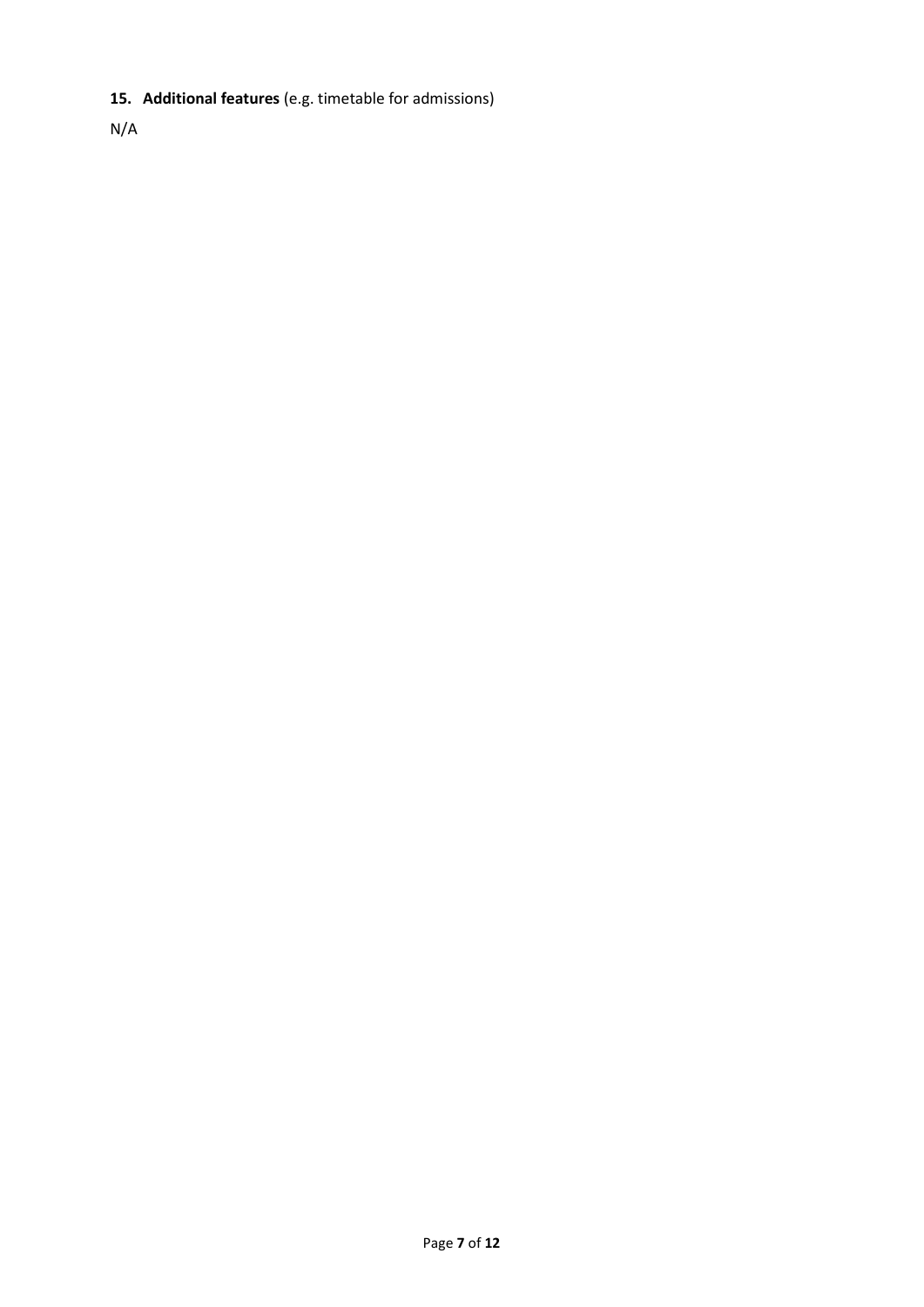# **15. Additional features** (e.g. timetable for admissions)

N/A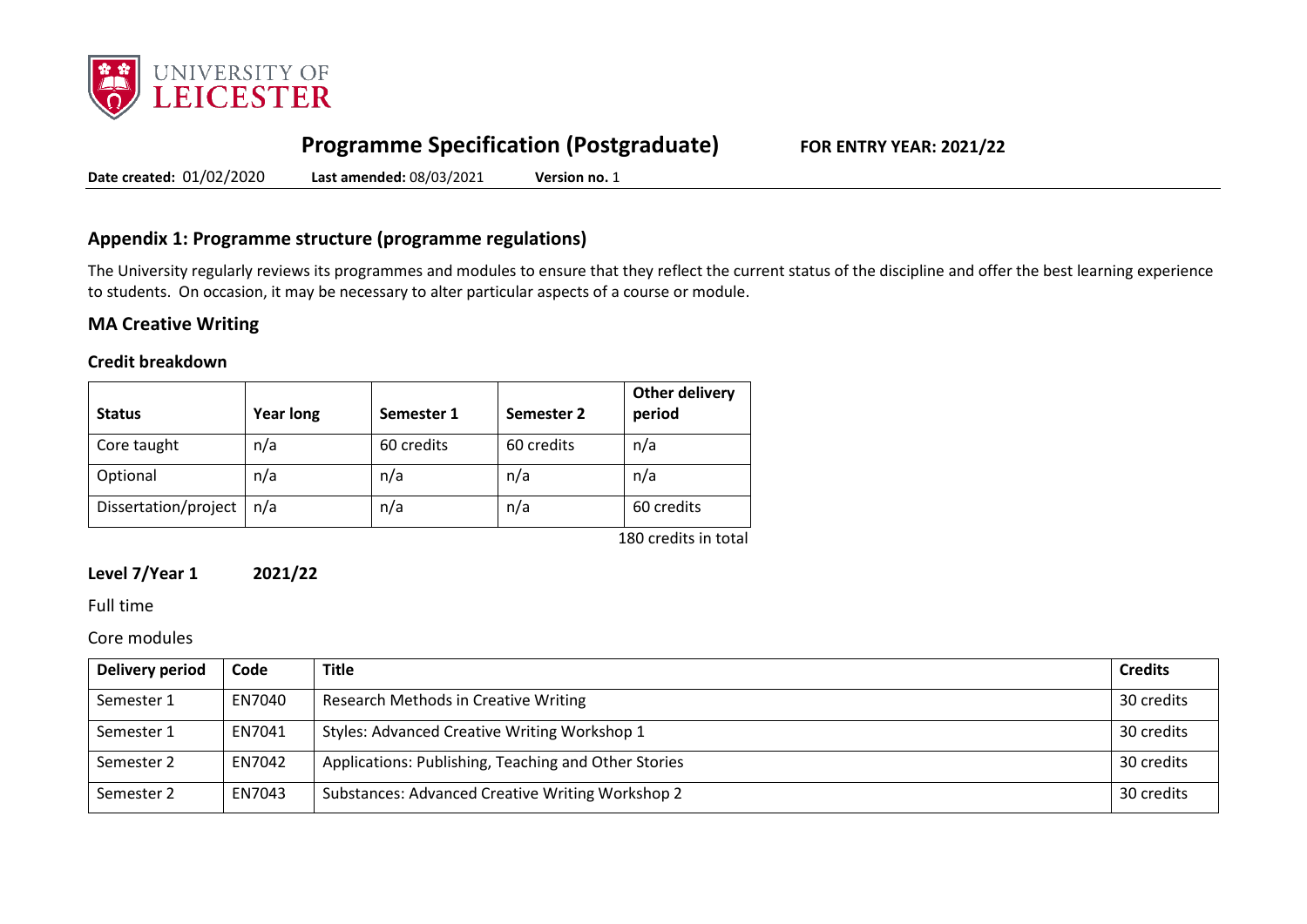

# **Programme Specification (Postgraduate) FOR ENTRY YEAR: 2021/22**

**Date created:** 01/02/2020 **Last amended:** 08/03/2021 **Version no.** 1

# **Appendix 1: Programme structure (programme regulations)**

The University regularly reviews its programmes and modules to ensure that they reflect the current status of the discipline and offer the best learning experience to students. On occasion, it may be necessary to alter particular aspects of a course or module.

# **MA Creative Writing**

#### **Credit breakdown**

| <b>Status</b>        | <b>Year long</b> | Semester 1 | Semester 2 | Other delivery<br>period |
|----------------------|------------------|------------|------------|--------------------------|
| Core taught          | n/a              | 60 credits | 60 credits | n/a                      |
| Optional             | n/a              | n/a        | n/a        | n/a                      |
| Dissertation/project | n/a              | n/a        | n/a        | 60 credits               |
|                      |                  |            |            | 180 credits in total     |

**Level 7/Year 1 2021/22**

Full time

Core modules

| Delivery period | Code   | <b>Title</b>                                         | <b>Credits</b> |
|-----------------|--------|------------------------------------------------------|----------------|
| Semester 1      | EN7040 | Research Methods in Creative Writing                 | 30 credits     |
| Semester 1      | EN7041 | Styles: Advanced Creative Writing Workshop 1         | 30 credits     |
| Semester 2      | EN7042 | Applications: Publishing, Teaching and Other Stories | 30 credits     |
| Semester 2      | EN7043 | Substances: Advanced Creative Writing Workshop 2     | 30 credits     |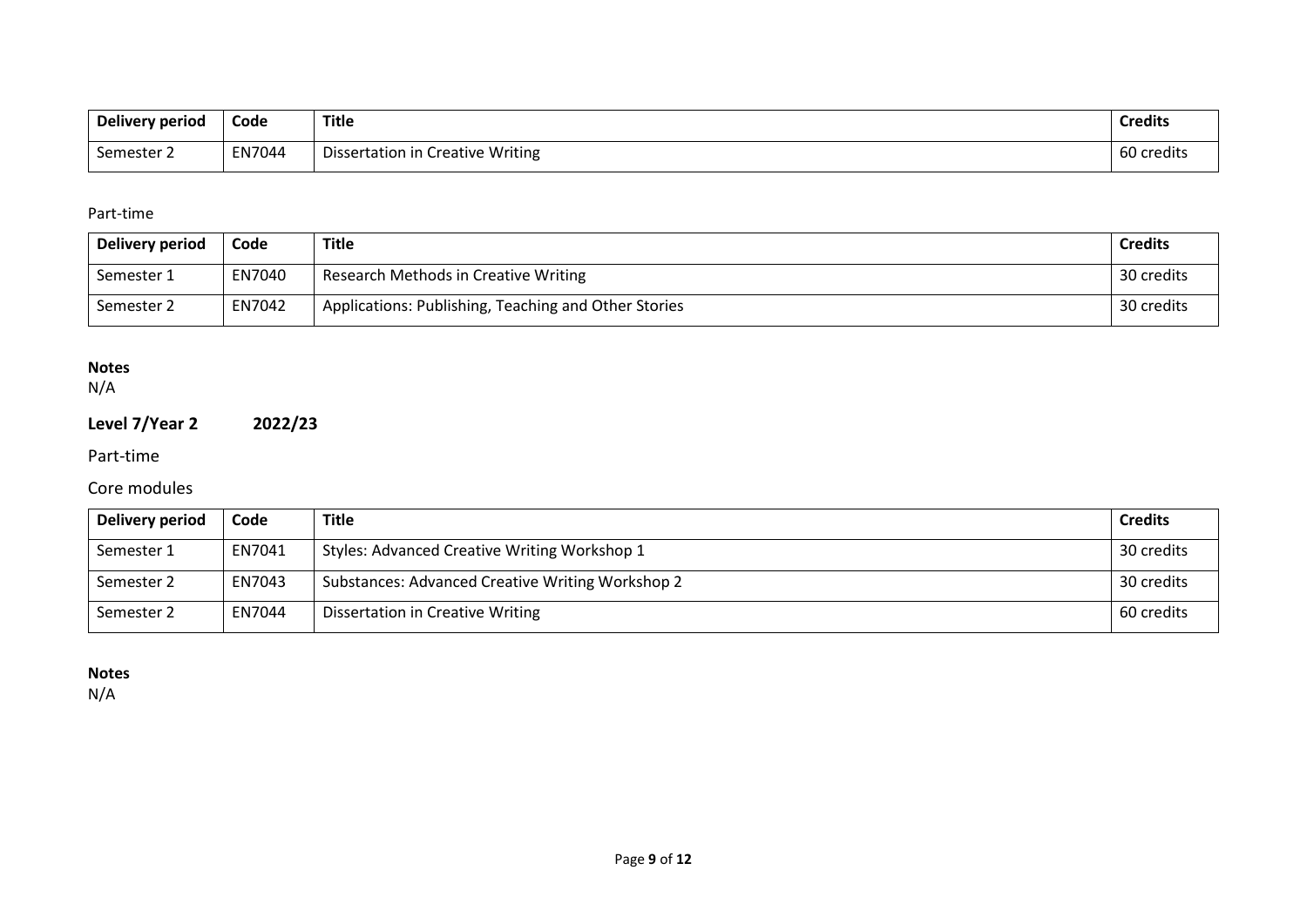| <b>Delivery period</b> | Code   | Title                            | <b>Credits</b> |
|------------------------|--------|----------------------------------|----------------|
| Semester 2             | EN7044 | Dissertation in Creative Writing | 60 credits     |

### Part-time

| Delivery period | Code   | Title                                                | <b>Credits</b> |
|-----------------|--------|------------------------------------------------------|----------------|
| Semester 1      | EN7040 | Research Methods in Creative Writing                 | 30 credits     |
| Semester 2      | EN7042 | Applications: Publishing, Teaching and Other Stories | 30 credits     |

## **Notes**

N/A

# **Level 7/Year 2 2022/23**

Part-time

# Core modules

| Delivery period | Code   | <b>Title</b>                                     | <b>Credits</b> |
|-----------------|--------|--------------------------------------------------|----------------|
| Semester 1      | EN7041 | Styles: Advanced Creative Writing Workshop 1     | 30 credits     |
| Semester 2      | EN7043 | Substances: Advanced Creative Writing Workshop 2 | 30 credits     |
| Semester 2      | EN7044 | <b>Dissertation in Creative Writing</b>          | 60 credits     |

**Notes**

N/A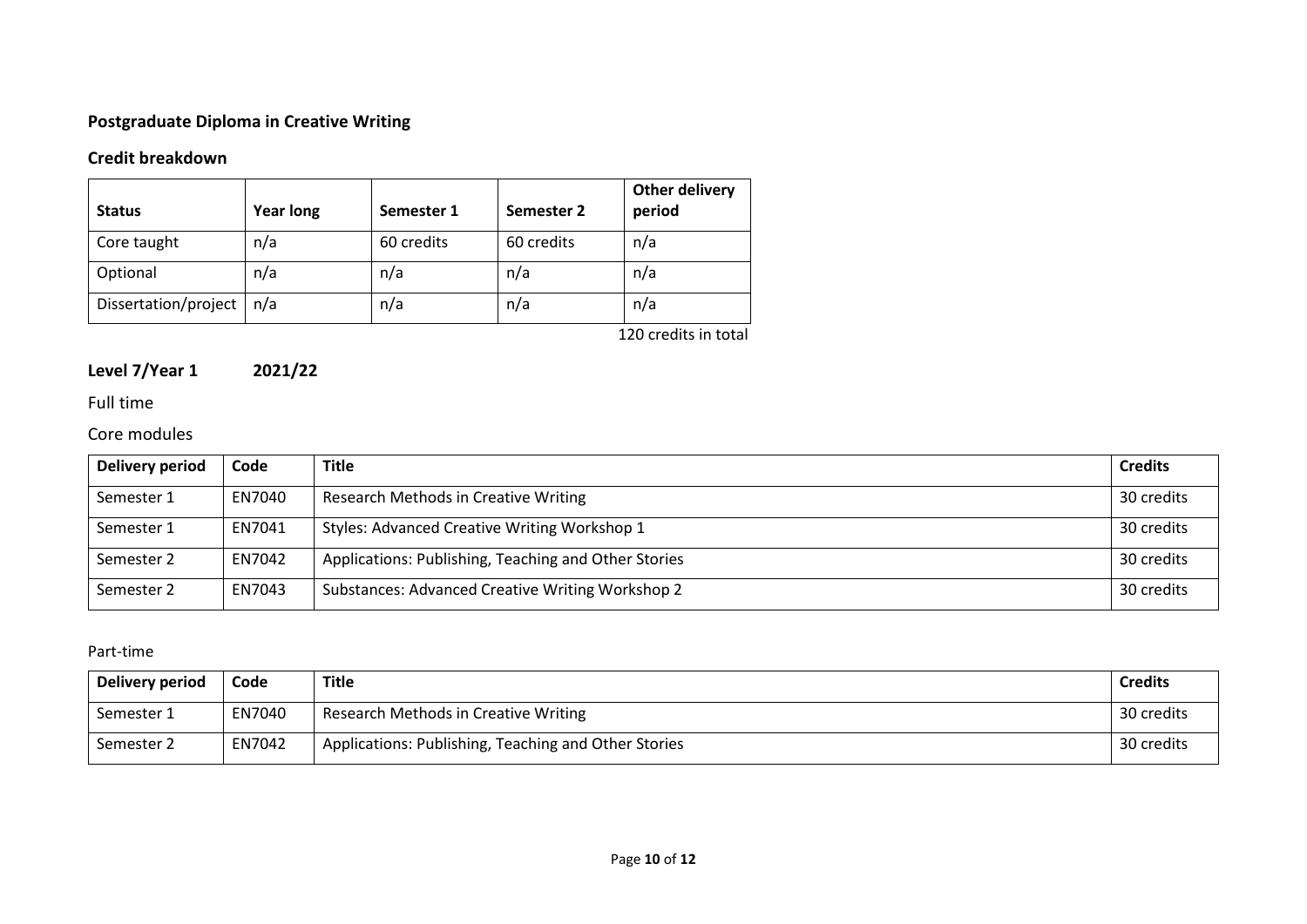# **Postgraduate Diploma in Creative Writing**

# **Credit breakdown**

| <b>Status</b>        | <b>Year long</b> | Semester 1 | Semester 2 | Other delivery<br>period                              |
|----------------------|------------------|------------|------------|-------------------------------------------------------|
| Core taught          | n/a              | 60 credits | 60 credits | n/a                                                   |
| Optional             | n/a              | n/a        | n/a        | n/a                                                   |
| Dissertation/project | n/a              | n/a        | n/a        | n/a                                                   |
|                      |                  |            |            | $1.20 \pm 0.00$ and $1.1 \pm 0.00$ and $1.1 \pm 0.00$ |

120 credits in total

# **Level 7/Year 1 2021/22**

# Full time

## Core modules

| Delivery period | Code   | <b>Title</b>                                         | <b>Credits</b> |
|-----------------|--------|------------------------------------------------------|----------------|
| Semester 1      | EN7040 | Research Methods in Creative Writing                 | 30 credits     |
| Semester 1      | EN7041 | Styles: Advanced Creative Writing Workshop 1         | 30 credits     |
| Semester 2      | EN7042 | Applications: Publishing, Teaching and Other Stories | 30 credits     |
| Semester 2      | EN7043 | Substances: Advanced Creative Writing Workshop 2     | 30 credits     |

### Part-time

| Delivery period | Code   | Title                                                | <b>Credits</b> |
|-----------------|--------|------------------------------------------------------|----------------|
| Semester 1      | EN7040 | Research Methods in Creative Writing                 | 30 credits     |
| Semester 2      | EN7042 | Applications: Publishing, Teaching and Other Stories | 30 credits     |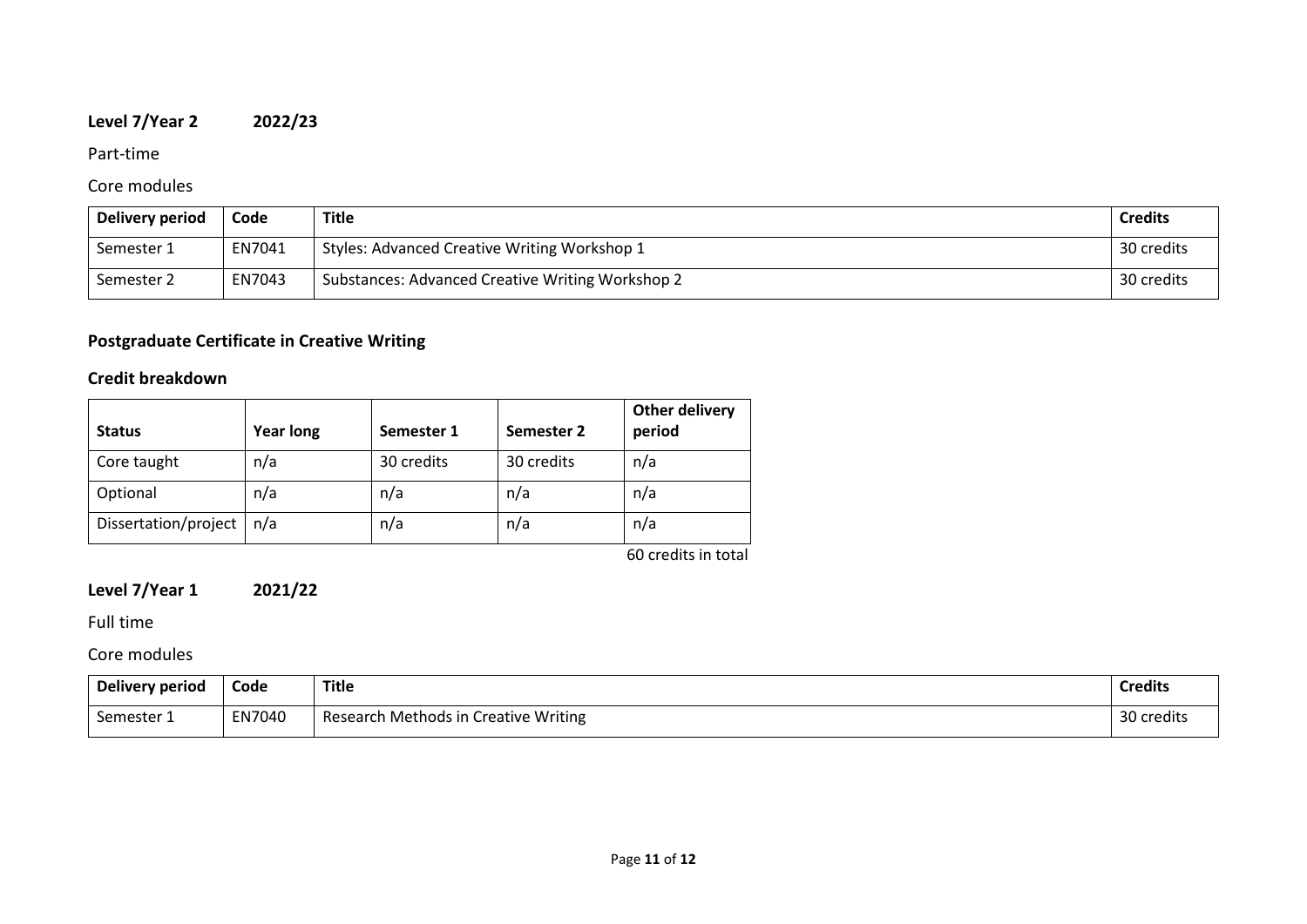# **Level 7/Year 2 2022/23**

### Part-time

# Core modules

| Delivery period | Code   | Title                                            | <b>Credits</b> |
|-----------------|--------|--------------------------------------------------|----------------|
| Semester 1      | EN7041 | Styles: Advanced Creative Writing Workshop 1     | 30 credits     |
| Semester 2      | EN7043 | Substances: Advanced Creative Writing Workshop 2 | 30 credits     |

# **Postgraduate Certificate in Creative Writing**

# **Credit breakdown**

| <b>Status</b>        | <b>Year long</b> | Semester 1 | Semester 2 | Other delivery<br>period |
|----------------------|------------------|------------|------------|--------------------------|
| Core taught          | n/a              | 30 credits | 30 credits | n/a                      |
| Optional             | n/a              | n/a        | n/a        | n/a                      |
| Dissertation/project | n/a              | n/a        | n/a        | n/a                      |
|                      |                  |            |            | $CD = 1.112$ and $1.112$ |

60 credits in total

# **Level 7/Year 1 2021/22**

Full time

Core modules

| Delivery period | Code   | <b>Title</b><br>___                  | <b>Credits</b> |
|-----------------|--------|--------------------------------------|----------------|
| Semester 1      | EN7040 | Research Methods in Creative Writing | 30 credits     |